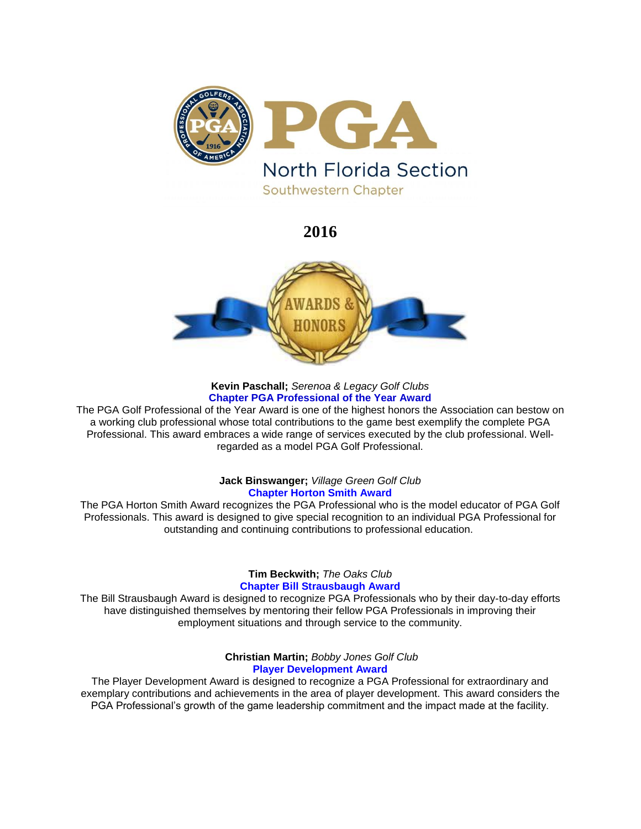

# **2016**



## **Kevin Paschall;** *Serenoa & Legacy Golf Clubs* **Chapter PGA Professional of the Year Award**

The PGA Golf Professional of the Year Award is one of the highest honors the Association can bestow on a working club professional whose total contributions to the game best exemplify the complete PGA Professional. This award embraces a wide range of services executed by the club professional. Wellregarded as a model PGA Golf Professional.

# **Jack Binswanger;** *Village Green Golf Club* **Chapter Horton Smith Award**

The PGA Horton Smith Award recognizes the PGA Professional who is the model educator of PGA Golf Professionals. This award is designed to give special recognition to an individual PGA Professional for outstanding and continuing contributions to professional education.

> **Tim Beckwith;** *The Oaks Club* **Chapter Bill Strausbaugh Award**

The Bill Strausbaugh Award is designed to recognize PGA Professionals who by their day-to-day efforts have distinguished themselves by mentoring their fellow PGA Professionals in improving their employment situations and through service to the community.

> **Christian Martin;** *Bobby Jones Golf Club* **Player Development Award**

The Player Development Award is designed to recognize a PGA Professional for extraordinary and exemplary contributions and achievements in the area of player development. This award considers the PGA Professional's growth of the game leadership commitment and the impact made at the facility.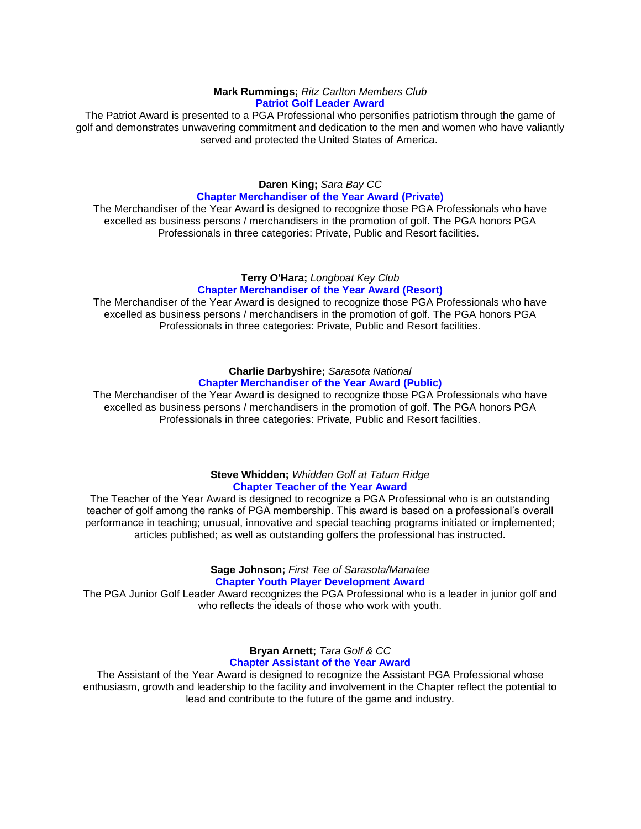### **Mark Rummings;** *Ritz Carlton Members Club* **Patriot Golf Leader Award**

The Patriot Award is presented to a PGA Professional who personifies patriotism through the game of golf and demonstrates unwavering commitment and dedication to the men and women who have valiantly served and protected the United States of America.

# **Daren King;** *Sara Bay CC* **Chapter Merchandiser of the Year Award (Private)**

The Merchandiser of the Year Award is designed to recognize those PGA Professionals who have excelled as business persons / merchandisers in the promotion of golf. The PGA honors PGA Professionals in three categories: Private, Public and Resort facilities.

## **Terry O'Hara;** *Longboat Key Club* **Chapter Merchandiser of the Year Award (Resort)**

The Merchandiser of the Year Award is designed to recognize those PGA Professionals who have excelled as business persons / merchandisers in the promotion of golf. The PGA honors PGA Professionals in three categories: Private, Public and Resort facilities.

#### **Charlie Darbyshire;** *Sarasota National* **Chapter Merchandiser of the Year Award (Public)**

The Merchandiser of the Year Award is designed to recognize those PGA Professionals who have excelled as business persons / merchandisers in the promotion of golf. The PGA honors PGA Professionals in three categories: Private, Public and Resort facilities.

# **Steve Whidden;** *Whidden Golf at Tatum Ridge* **Chapter Teacher of the Year Award**

The Teacher of the Year Award is designed to recognize a PGA Professional who is an outstanding teacher of golf among the ranks of PGA membership. This award is based on a professional's overall performance in teaching; unusual, innovative and special teaching programs initiated or implemented; articles published; as well as outstanding golfers the professional has instructed.

# **Sage Johnson;** *First Tee of Sarasota/Manatee* **Chapter Youth Player Development Award**

The PGA Junior Golf Leader Award recognizes the PGA Professional who is a leader in junior golf and who reflects the ideals of those who work with youth.

# **Bryan Arnett;** *Tara Golf & CC* **Chapter Assistant of the Year Award**

The Assistant of the Year Award is designed to recognize the Assistant PGA Professional whose enthusiasm, growth and leadership to the facility and involvement in the Chapter reflect the potential to lead and contribute to the future of the game and industry.